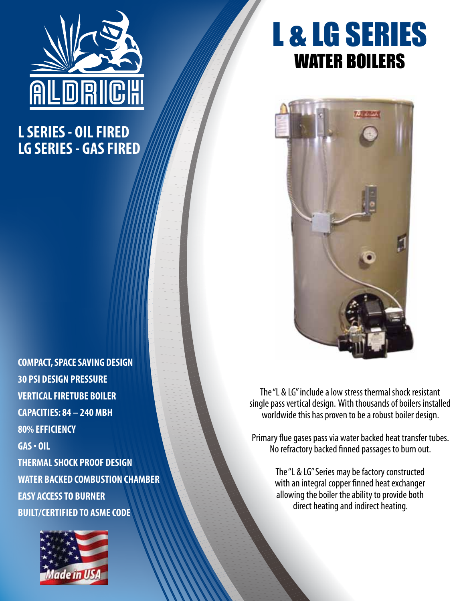

## **L SERIES - OIL FIRED LG SERIES - GAS FIRED**

## **COMPACT, SPACE SAVING DESIGN 30 PSI DESIGN PRESSURE VERTICAL FIRETUBE BOILER CAPACITIES: 84 – 240 MBH 80% EFFICIENCY GAS • OIL THERMAL SHOCK PROOF DESIGN WATER BACKED COMBUSTION CHAMBER EASY ACCESS TO BURNER BUILT/CERTIFIED TO ASME CODE**



## L & LG SERIES WATER BOILERS



The "L & LG" include a low stress thermal shock resistant single pass vertical design. With thousands of boilers installed worldwide this has proven to be a robust boiler design.

Primary flue gases pass via water backed heat transfer tubes. No refractory backed finned passages to burn out.

> The "L & LG" Series may be factory constructed with an integral copper finned heat exchanger allowing the boiler the ability to provide both direct heating and indirect heating.